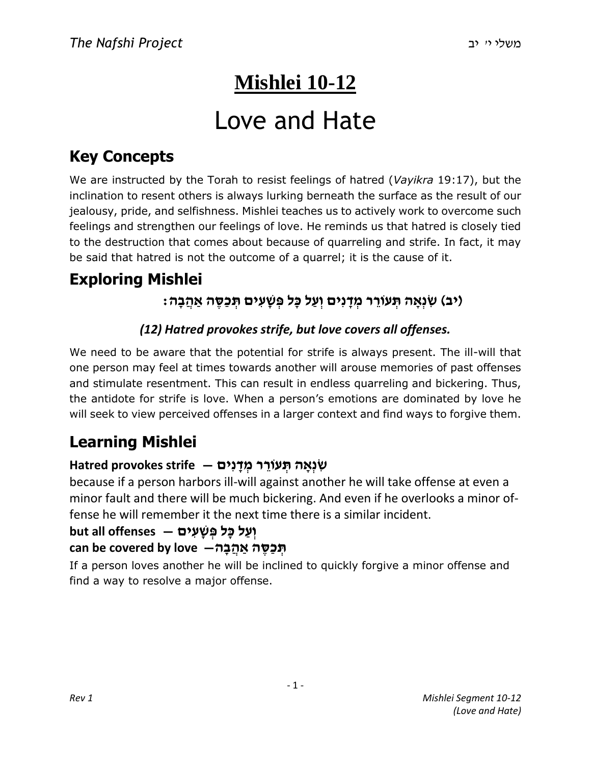## **Mishlei 10-12**

# Love and Hate

## **Key Concepts**

We are instructed by the Torah to resist feelings of hatred (*Vayikra* 19:17), but the inclination to resent others is always lurking berneath the surface as the result of our jealousy, pride, and selfishness. Mishlei teaches us to actively work to overcome such feelings and strengthen our feelings of love. He reminds us that hatred is closely tied to the destruction that comes about because of quarreling and strife. In fact, it may be said that hatred is not the outcome of a quarrel; it is the cause of it.

## **Exploring Mishlei**

#### **)יב( שִׂ נְאָ ה תְּ עוֹרֵ ר מְ דָ נִים וְ עַ ל כָּל פְּ שָׁ עִ ים תְּ כַסֶּ ה אַ הֲ בָ ה:**

#### *(12) Hatred provokes strife, but love covers all offenses.*

We need to be aware that the potential for strife is always present. The ill-will that one person may feel at times towards another will arouse memories of past offenses and stimulate resentment. This can result in endless quarreling and bickering. Thus, the antidote for strife is love. When a person's emotions are dominated by love he will seek to view perceived offenses in a larger context and find ways to forgive them.

### **Learning Mishlei**

#### **שִׂ נְאָ ה תְּ עוֹרֵ ר מְ דָ נִים — strife provokes Hatred**

because if a person harbors ill-will against another he will take offense at even a minor fault and there will be much bickering. And even if he overlooks a minor offense he will remember it the next time there is a similar incident.

#### **וְ עַ ל כָּל פְּ שָׁ עִ ים — offenses all but**

#### **תְּ כַסֶּ ה אַ הֲ בָ ה — love by covered be can**

If a person loves another he will be inclined to quickly forgive a minor offense and find a way to resolve a major offense.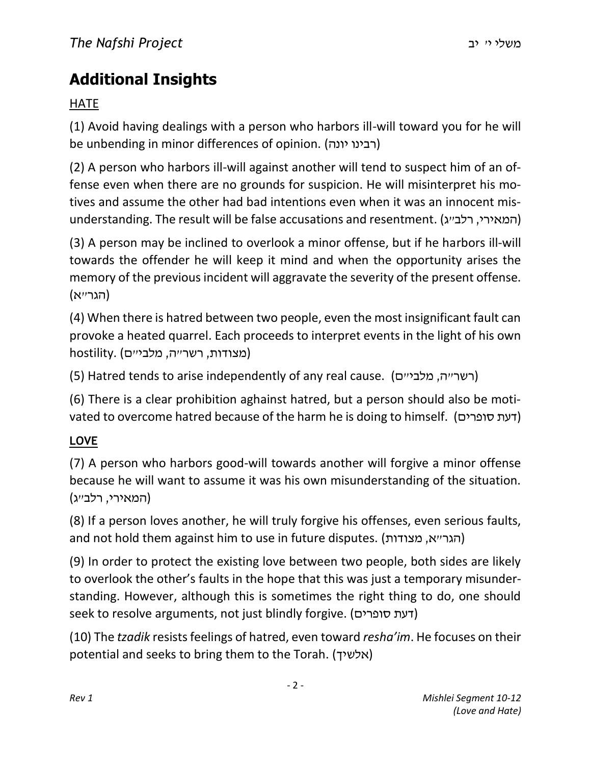## **Additional Insights**

#### <u>HATE</u>

(1) Avoid having dealings with a person who harbors ill-will toward you for he will be unbending in minor differences of opinion. ( יונה רבינו(

(2) A person who harbors ill-will against another will tend to suspect him of an offense even when there are no grounds for suspicion. He will misinterpret his motives and assume the other had bad intentions even when it was an innocent misunderstanding. The result will be false accusations and resentment. (המאירי, רלב"ג)

(3) A person may be inclined to overlook a minor offense, but if he harbors ill-will towards the offender he will keep it mind and when the opportunity arises the memory of the previous incident will aggravate the severity of the present offense. (הגר״א)

(4) When there is hatred between two people, even the most insignificant fault can provoke a heated quarrel. Each proceeds to interpret events in the light of his own hostility. (מצודות, רשר"ה, מלבי"ם)

(5) Hatred tends to arise independently of any real cause. (רשרייה, מלבייים)

(6) There is a clear prohibition aghainst hatred, but a person should also be motivated to overcome hatred because of the harm he is doing to himself. ( סופרים דעת(

#### **LOVE**

(7) A person who harbors good-will towards another will forgive a minor offense because he will want to assume it was his own misunderstanding of the situation. (המאירי, רלב"ג )

(8) If a person loves another, he will truly forgive his offenses, even serious faults, and not hold them against him to use in future disputes. (הגר״א, מצודות)

(9) In order to protect the existing love between two people, both sides are likely to overlook the other's faults in the hope that this was just a temporary misunderstanding. However, although this is sometimes the right thing to do, one should seek to resolve arguments, not just blindly forgive. ( סופרים דעת(

(10) The *tzadik* resists feelings of hatred, even toward *resha'im*. He focuses on their potential and seeks to bring them to the Torah. (אלשיך)